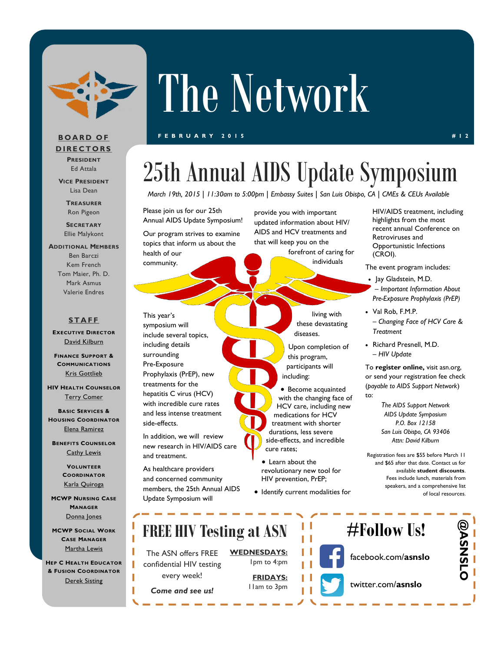

# The Network

#### **F E B R U A R Y 2 0 1 5 # 1 2**

### **B O A R D O F D I R E C T O R S PRESIDENT**

Ed Attala

**VICE PRESIDENT** Lisa Dean

> **TREASURER** Ron Pigeon

**SECRETARY** Ellie Malykont

**ADDITIONAL MEMBERS** Ben Barczi Kem French Tom Maier, Ph. D. Mark Asmus Valerie Endres

### **S T A F F**

**EXECUTIVE DIRECTOR** [David Kilburn](mailto:dkilburn@asn.org)

**FINANCE SUPPORT & COMMUNICATIONS** [Kris Gottlieb](mailto:kgottlieb@asn.org)

**HIV HEALTH COUNSELOR** [Terry Comer](mailto:TComer@asn.org)

**BASIC SERVICES & HOUSING COORDINATOR** [Elena Ramirez](mailto:eramirez@asn.org)

**BENEFITS COUNSELOR [Cathy Lewis](mailto:CLewis@slohepc.org)** 

> **VOLUNTEER COORDINATOR** [Karla Quiroga](mailto:kquiroga@asn.org)

**MCWP NURSING CASE MANAGER** [Donna Jones](mailto:djones@asn.org)

**MCW CASE MANAGER** [Martha Lewis](mailto:mlewis@asn.org)

 $HEP C$ **& FUSION COORDINATOR [Derek Sisting](mailto:dsisting@asn.org)** 

### 25th Annual AIDS Update Symposium

*March 19th, 2015* | *11:30am to 5:00pm* | *Embassy Suites* | *San Luis Obispo, CA* | *CMEs & CEUs Available*

Please join us for our 25th Annual AIDS Update Symposium!

Our program strives to examine topics that inform us about the health of our community.

This year's symposium will include several topics, including details surrounding Pre-Exposure Prophylaxis (PrEP), new treatments for the hepatitis C virus (HCV) with incredible cure rates and less intense treatment side-effects.

In addition, we will review new research in HIV/AIDS care and treatment.

As healthcare providers and concerned community members, the 25th Annual AIDS Update Symposium will

provide you with important updated information about HIV/ AIDS and HCV treatments and that will keep you on the forefront of caring for

individuals

living with these devastating diseases.

Upon completion of this program, participants will including:

 Become acquainted with the changing face of HCV care, including new medications for HCV treatment with shorter durations, less severe side-effects, and incredible cure rates;

 Learn about the revolutionary new tool for HIV prevention, PrEP;

 $\bullet$  Identify current modalities for

HIV/AIDS treatment, including highlights from the most recent annual Conference on Retroviruses and Opportunistic Infections (CROI).

The event program includes:

- Jay Gladstein, M.D. – *Important Information About Pre-Exposure Prophylaxis (PrEP)*
- Val Rob, F.M.P. – *Changing Face of HCV Care & Treatment*
- Richard Presnell, M.D. – *HIV Update*

To **register online,** visit asn.org, or send your registration fee check (*payable to AIDS Support Network*) to:

> *The AIDS Support Network AIDS Update Symposium P.O. Box 12158 San Luis Obispo, CA 93406 Attn: David Kilburn*

Registration fees are \$55 before March 11 and \$65 after that date. Contact us for available **student discounts**. Fees include lunch, materials from speakers, and a comprehensive list of local resources.

| MANAGER<br>Donna Jones<br><b>P SOCIAL WORK</b><br><b>ASE MANAGER</b> | <b>FREE HIV Testing at ASN</b>                  |                                   | $#F$ ollow Us! |                     |  |
|----------------------------------------------------------------------|-------------------------------------------------|-----------------------------------|----------------|---------------------|--|
| Martha Lewis<br><b>HEALTH EDUCATOR</b>                               | The ASN offers FREE<br>confidential HIV testing | <b>WEDNESDAYS:</b><br>Ipm to 4:pm |                | facebook.com/asnslo |  |
| <b>ON COORDINATOR</b><br>Derek Sisting                               | every week!<br>Come and see us!                 | <b>FRIDAYS:</b><br>I lam to 3pm   |                | twitter.com/asnslo  |  |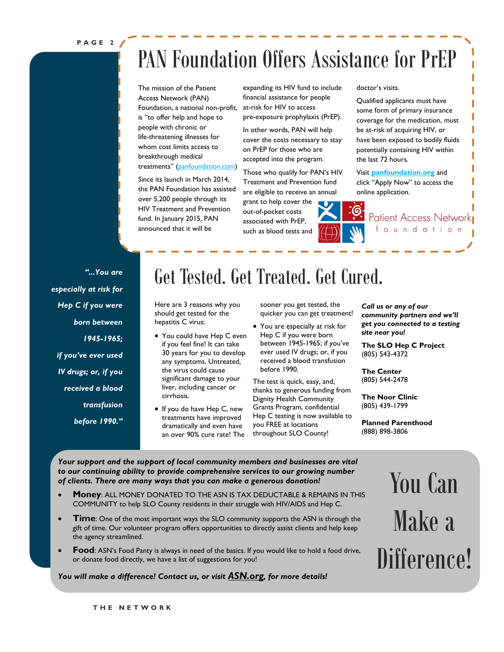**P A G E 2**

### PAN Foundation Offers Assistance for PrEP

The mission of the Patient Access Network (PAN) Foundation, a national non-profit, is "to offer help and hope to people with chronic or life-threatening illnesses for whom cost limits access to breakthrough medical treatments" ([panfoundation.com\)](http://www.panfoundation.org/hiv-treatment-and-prevention)

Since its launch in March 2014, the PAN Foundation has assisted over 5,200 people through its HIV Treatment and Prevention fund. In January 2015, PAN announced that it will be

expanding its HIV fund to include financial assistance for people at-risk for HIV to access pre-exposure prophylaxis (PrEP).

In other words, PAN will help cover the costs necessary to stay on PrEP for those who are accepted into the program.

Those who qualify for PAN's HIV Treatment and Prevention fund are eligible to receive an annual grant to help cover the out-of-pocket costs

associated with PrEP, such as blood tests and doctor's visits.

Qualified applicants must have some form of primary insurance coverage for the medication, must be at-risk of acquiring HIV, or have been exposed to bodily fluids potentially containing HIV within the last 72 hours.

Visit **[panfoundation.org](https://www.panfoundation.org/fundingapplication/patientEnrollment.php?)** and click "Apply Now" to access the online application.

> Patient Access Network foundation

*"...You are especially at risk for Hep C if you were born between 1945-1965; if you've ever used IV drugs; or, if you received a blood transfusion before 1990."*

### Get Tested. Get Treated. Get Cured.

Here are 3 reasons why you should get tested for the hepatitis C virus:

- You could have Hep C even if you feel fine! It can take 30 years for you to develop any symptoms. Untreated, the virus could cause significant damage to your liver, including cancer or cirrhosis.
- If you do have Hep C, new treatments have improved dramatically and even have an over 90% cure rate! The

sooner you get tested, the quicker you can get treatment!

 You are especially at risk for Hep C if you were born between 1945-1965; if you've ever used IV drugs; or, if you received a blood transfusion before 1990.

The test is quick, easy, and, thanks to generous funding from Dignity Health Community Grants Program, confidential Hep C testing is now available to you FREE at locations throughout SLO County!

*Call us or any of our community partners and we'll get you connected to a testing site near you!* 

**The SLO Hep C Project** (805) 543-4372

**The Center** (805) 544-2478

**The Noor Clinic** (805) 439-1799

**Planned Parenthood** (888) 898-3806

*Your support and the support of local community members and businesses are vital to our continuing ability to provide comprehensive services to our growing number of clients. There are many ways that you can make a generous donation!*

- **Money**: ALL MONEY DONATED TO THE ASN IS TAX DEDUCTABLE & REMAINS IN THIS COMMUNITY to help SLO County residents in their struggle with HIV/AIDS and Hep C.
- **Time**: One of the most important ways the SLO community supports the ASN is through the gift of time. Our volunteer program offers opportunities to directly assist clients and help keep the agency streamlined.
- **Food**: ASN's Food Panty is always in need of the basics. If you would like to hold a food drive, or donate food directly, we have a list of suggestions for you!

### *You will make a difference! Contact us, or visit [ASN.org](C:/Users/Accounting/Documents/1 Excel), for more details!*

You Can Make a Difference!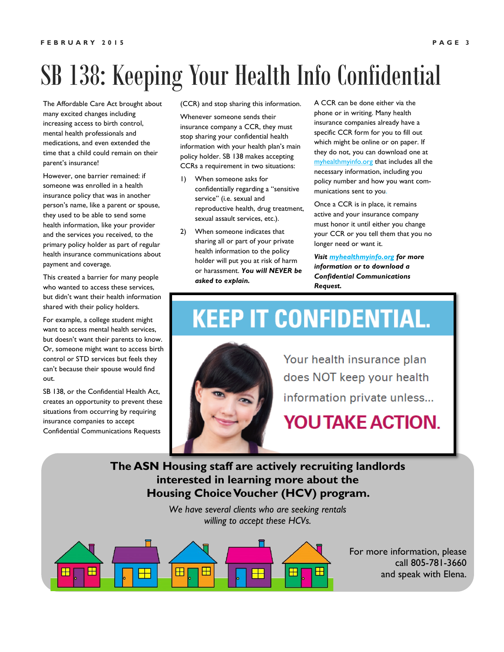## SB 138: Keeping Your Health Info Confidential

The Affordable Care Act brought about many excited changes including increasing access to birth control, mental health professionals and medications, and even extended the time that a child could remain on their parent's insurance!

However, one barrier remained: if someone was enrolled in a health insurance policy that was in another person's name, like a parent or spouse, they used to be able to send some health information, like your provider and the services you received, to the primary policy holder as part of regular health insurance communications about payment and coverage.

This created a barrier for many people who wanted to access these services, but didn't want their health information shared with their policy holders.

For example, a college student might want to access mental health services, but doesn't want their parents to know. Or, someone might want to access birth control or STD services but feels they can't because their spouse would find out.

SB 138, or the Confidential Health Act. creates an opportunity to prevent these situations from occurring by requiring insurance companies to accept Confidential Communications Requests

(CCR) and stop sharing this information.

Whenever someone sends their insurance company a CCR, they must stop sharing your confidential health information with your health plan's main policy holder. SB 138 makes accepting CCRs a requirement in two situations:

- 1) When someone asks for confidentially regarding a "sensitive service" (i.e. sexual and reproductive health, drug treatment, sexual assault services, etc.).
- 2) When someone indicates that sharing all or part of your private health information to the policy holder will put you at risk of harm or harassment. *You will NEVER be asked to explain.*

A CCR can be done either via the phone or in writing. Many health insurance companies already have a specific CCR form for you to fill out which might be online or on paper. If they do not, you can download one at <myhealthmyinfo.org> that includes all the necessary information, including you policy number and how you want communications sent to you.

Once a CCR is in place, it remains active and your insurance company must honor it until either you change your CCR or you tell them that you no longer need or want it.

*Visit<myhealthmyinfo.org> for more information or to download a Confidential Communications Request.* 

### **KEEP IT CONFIDENTIAL.**



Your health insurance plan does NOT keep your health information private unless...

**YOU TAKE ACTION.** 

### **The ASN [Housing staff are actively recruiting landlords](myhealthmyinfo.org)  interested in learning more about the Housing Choice Voucher (HCV) program.**

*We have several clients who are seeking rentals willing to accept these HCVs.* 



For more information, please call 805-781-3660 and speak with Elena.